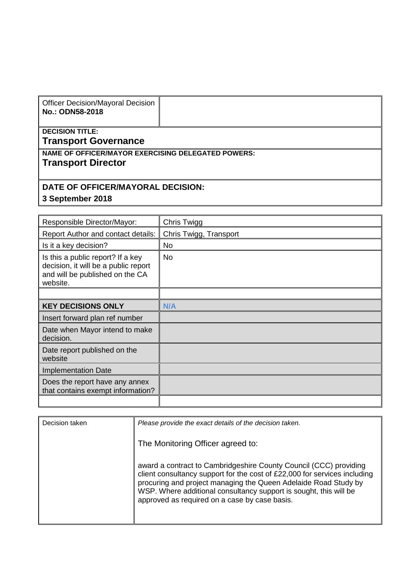| <b>Officer Decision/Mayoral Decision</b><br>No.: ODN58-2018                            |  |  |  |  |
|----------------------------------------------------------------------------------------|--|--|--|--|
| <b>DECISION TITLE:</b><br>Transport Governance                                         |  |  |  |  |
| <b>NAME OF OFFICER/MAYOR EXERCISING DELEGATED POWERS:</b><br><b>Transport Director</b> |  |  |  |  |

## **DATE OF OFFICER/MAYORAL DECISION:**

**3 September 2018**

| Responsible Director/Mayor:                                                                                              | Chris Twigg            |
|--------------------------------------------------------------------------------------------------------------------------|------------------------|
| Report Author and contact details:                                                                                       | Chris Twigg, Transport |
| Is it a key decision?                                                                                                    | No                     |
| Is this a public report? If a key<br>decision, it will be a public report<br>and will be published on the CA<br>website. | <b>No</b>              |
|                                                                                                                          |                        |
| <b>KEY DECISIONS ONLY</b>                                                                                                | N/A                    |
| Insert forward plan ref number                                                                                           |                        |
| Date when Mayor intend to make<br>decision.                                                                              |                        |
| Date report published on the<br>website                                                                                  |                        |
| <b>Implementation Date</b>                                                                                               |                        |
| Does the report have any annex<br>that contains exempt information?                                                      |                        |
|                                                                                                                          |                        |

| Decision taken | Please provide the exact details of the decision taken.                                                                                                                                                                                                                                                                                 |
|----------------|-----------------------------------------------------------------------------------------------------------------------------------------------------------------------------------------------------------------------------------------------------------------------------------------------------------------------------------------|
|                | The Monitoring Officer agreed to:                                                                                                                                                                                                                                                                                                       |
|                | award a contract to Cambridgeshire County Council (CCC) providing<br>client consultancy support for the cost of £22,000 for services including<br>procuring and project managing the Queen Adelaide Road Study by<br>WSP. Where additional consultancy support is sought, this will be<br>approved as required on a case by case basis. |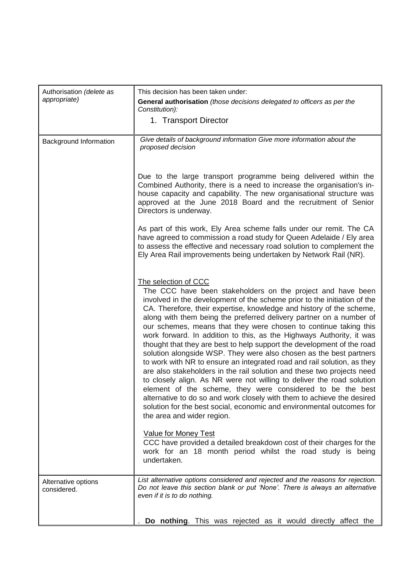| Authorisation (delete as           | This decision has been taken under:                                                                                                                                                                                                                                                                                                                                                                                                                                                                                                                                                                                                                                                                                                                                                                                                                                                                                                                                                                                                                                                                                    |
|------------------------------------|------------------------------------------------------------------------------------------------------------------------------------------------------------------------------------------------------------------------------------------------------------------------------------------------------------------------------------------------------------------------------------------------------------------------------------------------------------------------------------------------------------------------------------------------------------------------------------------------------------------------------------------------------------------------------------------------------------------------------------------------------------------------------------------------------------------------------------------------------------------------------------------------------------------------------------------------------------------------------------------------------------------------------------------------------------------------------------------------------------------------|
| appropriate)                       | General authorisation (those decisions delegated to officers as per the<br>Constitution):                                                                                                                                                                                                                                                                                                                                                                                                                                                                                                                                                                                                                                                                                                                                                                                                                                                                                                                                                                                                                              |
|                                    | 1. Transport Director                                                                                                                                                                                                                                                                                                                                                                                                                                                                                                                                                                                                                                                                                                                                                                                                                                                                                                                                                                                                                                                                                                  |
| Background Information             | Give details of background information Give more information about the<br>proposed decision                                                                                                                                                                                                                                                                                                                                                                                                                                                                                                                                                                                                                                                                                                                                                                                                                                                                                                                                                                                                                            |
|                                    | Due to the large transport programme being delivered within the<br>Combined Authority, there is a need to increase the organisation's in-<br>house capacity and capability. The new organisational structure was<br>approved at the June 2018 Board and the recruitment of Senior<br>Directors is underway.                                                                                                                                                                                                                                                                                                                                                                                                                                                                                                                                                                                                                                                                                                                                                                                                            |
|                                    | As part of this work, Ely Area scheme falls under our remit. The CA<br>have agreed to commission a road study for Queen Adelaide / Ely area<br>to assess the effective and necessary road solution to complement the<br>Ely Area Rail improvements being undertaken by Network Rail (NR).                                                                                                                                                                                                                                                                                                                                                                                                                                                                                                                                                                                                                                                                                                                                                                                                                              |
|                                    | The selection of CCC<br>The CCC have been stakeholders on the project and have been<br>involved in the development of the scheme prior to the initiation of the<br>CA. Therefore, their expertise, knowledge and history of the scheme,<br>along with them being the preferred delivery partner on a number of<br>our schemes, means that they were chosen to continue taking this<br>work forward. In addition to this, as the Highways Authority, it was<br>thought that they are best to help support the development of the road<br>solution alongside WSP. They were also chosen as the best partners<br>to work with NR to ensure an integrated road and rail solution, as they<br>are also stakeholders in the rail solution and these two projects need<br>to closely align. As NR were not willing to deliver the road solution<br>element of the scheme, they were considered to be the best<br>alternative to do so and work closely with them to achieve the desired<br>solution for the best social, economic and environmental outcomes for<br>the area and wider region.<br><b>Value for Money Test</b> |
|                                    | CCC have provided a detailed breakdown cost of their charges for the<br>work for an 18 month period whilst the road study is being<br>undertaken.                                                                                                                                                                                                                                                                                                                                                                                                                                                                                                                                                                                                                                                                                                                                                                                                                                                                                                                                                                      |
| Alternative options<br>considered. | List alternative options considered and rejected and the reasons for rejection.<br>Do not leave this section blank or put 'None'. There is always an alternative<br>even if it is to do nothing.                                                                                                                                                                                                                                                                                                                                                                                                                                                                                                                                                                                                                                                                                                                                                                                                                                                                                                                       |
|                                    | Do nothing. This was rejected as it would directly affect the                                                                                                                                                                                                                                                                                                                                                                                                                                                                                                                                                                                                                                                                                                                                                                                                                                                                                                                                                                                                                                                          |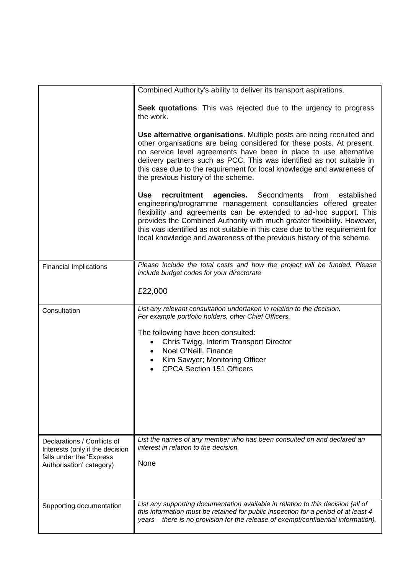|                                                                                         | Combined Authority's ability to deliver its transport aspirations.                                                                                                                                                                                                                                                                                                                                                                                         |  |  |
|-----------------------------------------------------------------------------------------|------------------------------------------------------------------------------------------------------------------------------------------------------------------------------------------------------------------------------------------------------------------------------------------------------------------------------------------------------------------------------------------------------------------------------------------------------------|--|--|
|                                                                                         | Seek quotations. This was rejected due to the urgency to progress<br>the work.                                                                                                                                                                                                                                                                                                                                                                             |  |  |
|                                                                                         | Use alternative organisations. Multiple posts are being recruited and<br>other organisations are being considered for these posts. At present,<br>no service level agreements have been in place to use alternative<br>delivery partners such as PCC. This was identified as not suitable in<br>this case due to the requirement for local knowledge and awareness of<br>the previous history of the scheme.                                               |  |  |
|                                                                                         | <b>Use</b><br>recruitment<br><b>agencies.</b> Secondments<br>from<br>established<br>engineering/programme management consultancies offered greater<br>flexibility and agreements can be extended to ad-hoc support. This<br>provides the Combined Authority with much greater flexibility. However,<br>this was identified as not suitable in this case due to the requirement for<br>local knowledge and awareness of the previous history of the scheme. |  |  |
| <b>Financial Implications</b>                                                           | Please include the total costs and how the project will be funded. Please<br>include budget codes for your directorate                                                                                                                                                                                                                                                                                                                                     |  |  |
|                                                                                         | £22,000                                                                                                                                                                                                                                                                                                                                                                                                                                                    |  |  |
| Consultation                                                                            | List any relevant consultation undertaken in relation to the decision.<br>For example portfolio holders, other Chief Officers.                                                                                                                                                                                                                                                                                                                             |  |  |
|                                                                                         | The following have been consulted:<br>Chris Twigg, Interim Transport Director<br>$\bullet$<br>Noel O'Neill, Finance<br>$\bullet$<br>Kim Sawyer; Monitoring Officer<br><b>CPCA Section 151 Officers</b>                                                                                                                                                                                                                                                     |  |  |
| Declarations / Conflicts of                                                             | List the names of any member who has been consulted on and declared an                                                                                                                                                                                                                                                                                                                                                                                     |  |  |
| Interests (only if the decision<br>falls under the 'Express<br>Authorisation' category) | interest in relation to the decision.<br>None                                                                                                                                                                                                                                                                                                                                                                                                              |  |  |
| Supporting documentation                                                                | List any supporting documentation available in relation to this decision (all of<br>this information must be retained for public inspection for a period of at least 4<br>years – there is no provision for the release of exempt/confidential information).                                                                                                                                                                                               |  |  |